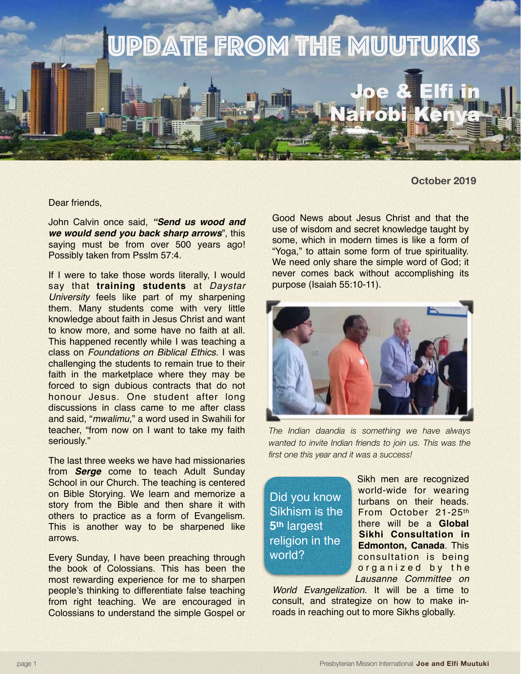

**October 2019**

Dear friends,

John Calvin once said, *"Send us wood and we would send you back sharp arrows*", this saying must be from over 500 years ago! Possibly taken from Psslm 57:4.

If I were to take those words literally, I would say that **training students** at *Daystar University* feels like part of my sharpening them. Many students come with very little knowledge about faith in Jesus Christ and want to know more, and some have no faith at all. This happened recently while I was teaching a class on *Foundations on Biblical Ethics.* I was challenging the students to remain true to their faith in the marketplace where they may be forced to sign dubious contracts that do not honour Jesus. One student after long discussions in class came to me after class and said, "*mwalimu,*" a word used in Swahili for teacher, "from now on I want to take my faith seriously."

The last three weeks we have had missionaries from *Serge* come to teach Adult Sunday School in our Church. The teaching is centered on Bible Storying. We learn and memorize a story from the Bible and then share it with others to practice as a form of Evangelism. This is another way to be sharpened like arrows.

Every Sunday, I have been preaching through the book of Colossians. This has been the most rewarding experience for me to sharpen people's thinking to differentiate false teaching from right teaching. We are encouraged in Colossians to understand the simple Gospel or

Good News about Jesus Christ and that the use of wisdom and secret knowledge taught by some, which in modern times is like a form of "Yoga," to attain some form of true spirituality. We need only share the simple word of God; it never comes back without accomplishing its purpose (Isaiah 55:10-11).



*The Indian daandia is something we have always wanted to invite Indian friends to join us. This was the first one this year and it was a success!*

Did you know Sikhism is the **5th** largest religion in the world?

Sikh men are recognized world-wide for wearing turbans on their heads. From October 21-25th there will be a **Global Sikhi Consultation in Edmonton, Canada**. This consultation is being organized by the *Lausanne Committee on* 

*World Evangelization.* It will be a time to consult, and strategize on how to make inroads in reaching out to more Sikhs globally.